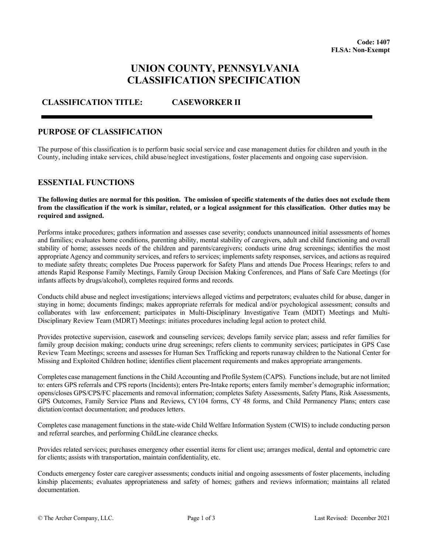# **UNION COUNTY, PENNSYLVANIA CLASSIFICATION SPECIFICATION**

## **CLASSIFICATION TITLE: CASEWORKER II**

#### **PURPOSE OF CLASSIFICATION**

The purpose of this classification is to perform basic social service and case management duties for children and youth in the County, including intake services, child abuse/neglect investigations, foster placements and ongoing case supervision.

#### **ESSENTIAL FUNCTIONS**

**The following duties are normal for this position. The omission of specific statements of the duties does not exclude them from the classification if the work is similar, related, or a logical assignment for this classification. Other duties may be required and assigned.**

Performs intake procedures; gathers information and assesses case severity; conducts unannounced initial assessments of homes and families; evaluates home conditions, parenting ability, mental stability of caregivers, adult and child functioning and overall stability of home; assesses needs of the children and parents/caregivers; conducts urine drug screenings; identifies the most appropriate Agency and community services, and refers to services; implements safety responses, services, and actions as required to mediate safety threats; completes Due Process paperwork for Safety Plans and attends Due Process Hearings; refers to and attends Rapid Response Family Meetings, Family Group Decision Making Conferences, and Plans of Safe Care Meetings (for infants affects by drugs/alcohol), completes required forms and records.

Conducts child abuse and neglect investigations; interviews alleged victims and perpetrators; evaluates child for abuse, danger in staying in home; documents findings; makes appropriate referrals for medical and/or psychological assessment; consults and collaborates with law enforcement; participates in Multi-Disciplinary Investigative Team (MDIT) Meetings and Multi-Disciplinary Review Team (MDRT) Meetings: initiates procedures including legal action to protect child.

Provides protective supervision, casework and counseling services; develops family service plan; assess and refer families for family group decision making; conducts urine drug screenings; refers clients to community services; participates in GPS Case Review Team Meetings; screens and assesses for Human Sex Trafficking and reports runaway children to the National Center for Missing and Exploited Children hotline; identifies client placement requirements and makes appropriate arrangements.

Completes case management functions in the Child Accounting and Profile System (CAPS). Functions include, but are not limited to: enters GPS referrals and CPS reports (Incidents); enters Pre-Intake reports; enters family member's demographic information; opens/closes GPS/CPS/FC placements and removal information; completes Safety Assessments, Safety Plans, Risk Assessments, GPS Outcomes, Family Service Plans and Reviews, CY104 forms, CY 48 forms, and Child Permanency Plans; enters case dictation/contact documentation; and produces letters.

Completes case management functions in the state-wide Child Welfare Information System (CWIS) to include conducting person and referral searches, and performing ChildLine clearance checks.

Provides related services; purchases emergency other essential items for client use; arranges medical, dental and optometric care for clients; assists with transportation, maintain confidentiality, etc.

Conducts emergency foster care caregiver assessments; conducts initial and ongoing assessments of foster placements, including kinship placements; evaluates appropriateness and safety of homes; gathers and reviews information; maintains all related documentation.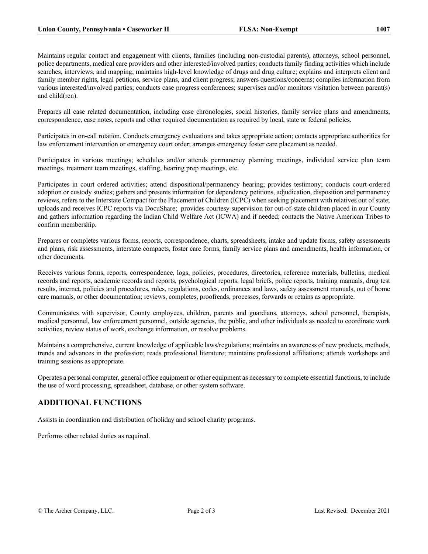Maintains regular contact and engagement with clients, families (including non-custodial parents), attorneys, school personnel, police departments, medical care providers and other interested/involved parties; conducts family finding activities which include searches, interviews, and mapping; maintains high-level knowledge of drugs and drug culture; explains and interprets client and family member rights, legal petitions, service plans, and client progress; answers questions/concerns; compiles information from various interested/involved parties; conducts case progress conferences; supervises and/or monitors visitation between parent(s) and child(ren).

Prepares all case related documentation, including case chronologies, social histories, family service plans and amendments, correspondence, case notes, reports and other required documentation as required by local, state or federal policies.

Participates in on-call rotation. Conducts emergency evaluations and takes appropriate action; contacts appropriate authorities for law enforcement intervention or emergency court order; arranges emergency foster care placement as needed.

Participates in various meetings; schedules and/or attends permanency planning meetings, individual service plan team meetings, treatment team meetings, staffing, hearing prep meetings, etc.

Participates in court ordered activities; attend dispositional/permanency hearing; provides testimony; conducts court-ordered adoption or custody studies; gathers and presents information for dependency petitions, adjudication, disposition and permanency reviews, refers to the Interstate Compact for the Placement of Children (ICPC) when seeking placement with relatives out of state; uploads and receives ICPC reports via DocuShare; provides courtesy supervision for out-of-state children placed in our County and gathers information regarding the Indian Child Welfare Act (ICWA) and if needed; contacts the Native American Tribes to confirm membership.

Prepares or completes various forms, reports, correspondence, charts, spreadsheets, intake and update forms, safety assessments and plans, risk assessments, interstate compacts, foster care forms, family service plans and amendments, health information, or other documents.

Receives various forms, reports, correspondence, logs, policies, procedures, directories, reference materials, bulletins, medical records and reports, academic records and reports, psychological reports, legal briefs, police reports, training manuals, drug test results, internet, policies and procedures, rules, regulations, codes, ordinances and laws, safety assessment manuals, out of home care manuals, or other documentation; reviews, completes, proofreads, processes, forwards or retains as appropriate.

Communicates with supervisor, County employees, children, parents and guardians, attorneys, school personnel, therapists, medical personnel, law enforcement personnel, outside agencies, the public, and other individuals as needed to coordinate work activities, review status of work, exchange information, or resolve problems.

Maintains a comprehensive, current knowledge of applicable laws/regulations; maintains an awareness of new products, methods, trends and advances in the profession; reads professional literature; maintains professional affiliations; attends workshops and training sessions as appropriate.

Operates a personal computer, general office equipment or other equipment as necessary to complete essential functions, to include the use of word processing, spreadsheet, database, or other system software.

## **ADDITIONAL FUNCTIONS**

Assists in coordination and distribution of holiday and school charity programs.

Performs other related duties as required.